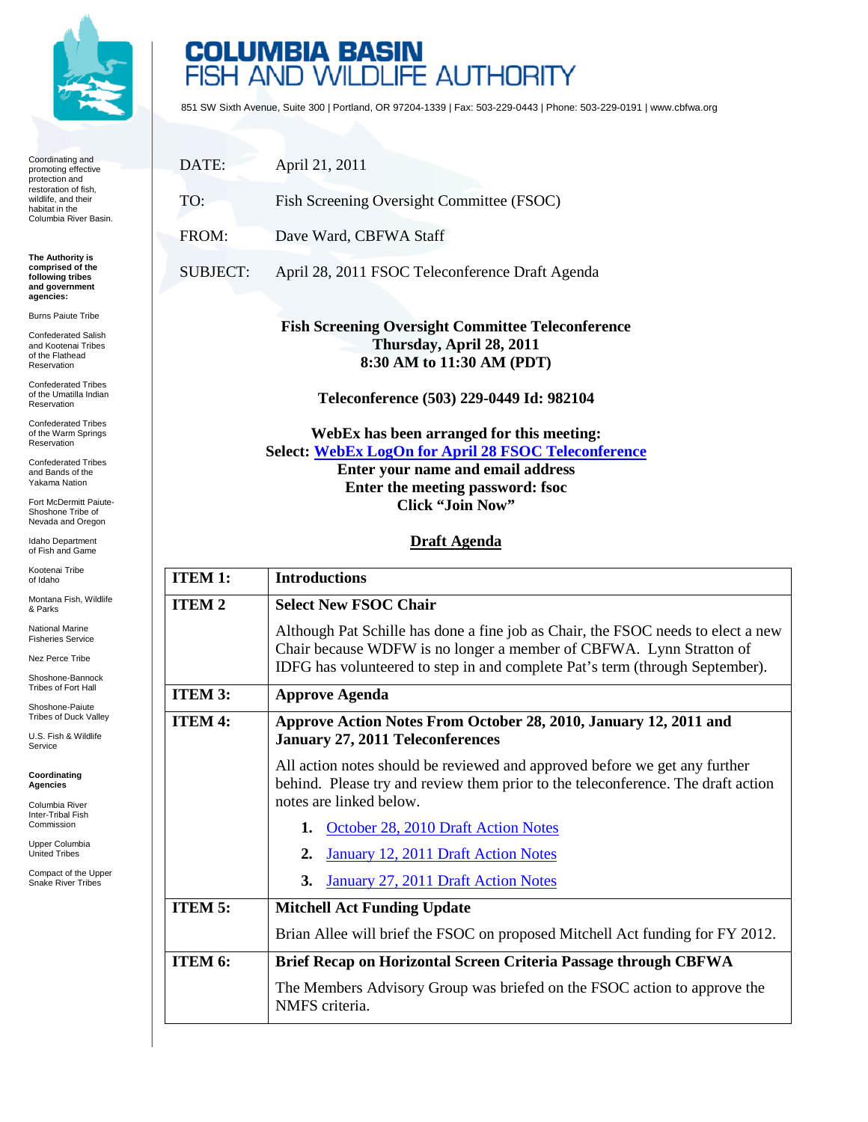

Coordinating and promoting effective protection and restoration of fish, wildlife, and their habitat in the Columbia River Basin.

**The Authority is comprised of the following tribes and government agencies:**

Burns Paiute Tribe

Confederated Salish and Kootenai Tribes of the Flathead Reservation

Confederated Tribes of the Umatilla Indian Reservation

Confederated Tribes of the Warm Springs Reservation

Confederated Tribes and Bands of the Yakama Nation

Fort McDermitt Paiute-Shoshone Tribe of Nevada and Oregon

Idaho Department of Fish and Game

Kootenai Tribe of Idaho

Montana Fish, Wildlife & Parks

National Marine Fisheries Service

Nez Perce Tribe

Shoshone-Bannock Tribes of Fort Hall

Shoshone-Paiute Tribes of Duck Valley

U.S. Fish & Wildlife Service

**Coordinating Agencies**

Columbia River Inter-Tribal Fish Commission

Upper Columbia United Tribes

Compact of the Upper Snake River Tribes

## **COLUMBIA BASIN**<br>FISH AND WILDLIFE AUTHORITY

851 SW Sixth Avenue, Suite 300 | Portland, OR 97204-1339 | Fax: 503-229-0443 | Phone: 503-229-0191 | www.cbfwa.org

| DATE:           | April 21, 2011                                                                                                                                                                                                                                    |
|-----------------|---------------------------------------------------------------------------------------------------------------------------------------------------------------------------------------------------------------------------------------------------|
| TO:             | Fish Screening Oversight Committee (FSOC)                                                                                                                                                                                                         |
| FROM:           | Dave Ward, CBFWA Staff                                                                                                                                                                                                                            |
| <b>SUBJECT:</b> | April 28, 2011 FSOC Teleconference Draft Agenda                                                                                                                                                                                                   |
|                 | <b>Fish Screening Oversight Committee Teleconference</b><br>Thursday, April 28, 2011<br>8:30 AM to 11:30 AM (PDT)                                                                                                                                 |
|                 | Teleconference (503) 229-0449 Id: 982104<br>WebEx has been arranged for this meeting:<br>Select: WebEx LogOn for April 28 FSOC Teleconference<br>Enter your name and email address<br>Enter the meeting password: fsoc<br><b>Click "Join Now"</b> |
|                 | <b>Draft Agenda</b>                                                                                                                                                                                                                               |
| <b>ITEM 1:</b>  | <b>Introductions</b>                                                                                                                                                                                                                              |
| <b>ITEM2</b>    | <b>Select New FSOC Chair</b>                                                                                                                                                                                                                      |
|                 | Although Pat Schille has done a fine job as Chair, the FSOC needs to elect a new<br>Chair because WDFW is no longer a member of CBFWA. Lynn Stratton of<br>IDFG has volunteered to step in and complete Pat's term (through September).           |
| ITEM 3:         | <b>Approve Agenda</b>                                                                                                                                                                                                                             |
| <b>ITEM 4:</b>  | Approve Action Notes From October 28, 2010, January 12, 2011 and<br><b>January 27, 2011 Teleconferences</b>                                                                                                                                       |
|                 | All action notes should be reviewed and approved before we get any further<br>behind. Please try and review them prior to the teleconference. The draft action<br>notes are linked below.                                                         |
|                 | 1. October 28, 2010 Draft Action Notes                                                                                                                                                                                                            |
|                 | <b>January 12, 2011 Draft Action Notes</b><br>2.                                                                                                                                                                                                  |
|                 | January 27, 2011 Draft Action Notes<br>3.                                                                                                                                                                                                         |
| <b>ITEM 5:</b>  | <b>Mitchell Act Funding Update</b>                                                                                                                                                                                                                |
|                 | Brian Allee will brief the FSOC on proposed Mitchell Act funding for FY 2012.                                                                                                                                                                     |
| ITEM 6:         | Brief Recap on Horizontal Screen Criteria Passage through CBFWA                                                                                                                                                                                   |
|                 | The Members Advisory Group was briefed on the FSOC action to approve the<br>NMFS criteria.                                                                                                                                                        |